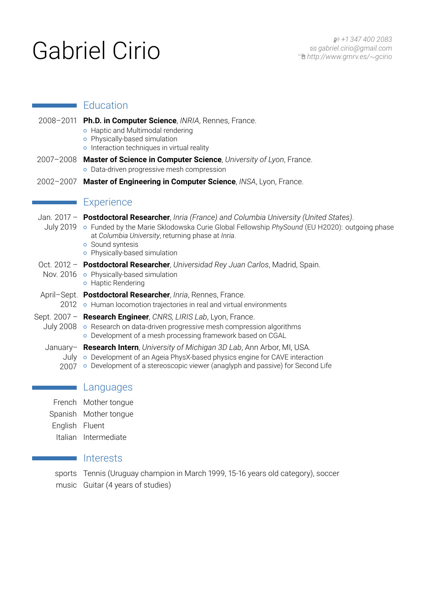# Gabriel Cirio **Herbitto Manufacture Cirio And Cirio And Algebriel Cirio And The Cirio And Algebriel Cirio And The Actor**

# **Education**

- 2008–2011 **Ph.D. in Computer Science**, *INRIA*, Rennes, France. { Haptic and Multimodal rendering
	- o Physically-based simulation
	- o Interaction techniques in virtual reality
- 2007–2008 **Master of Science in Computer Science**, *University of Lyon*, France. o Data-driven progressive mesh compression
- 2002–2007 **Master of Engineering in Computer Science**, *INSA*, Lyon, France.

# **Experience**

|      | Jan. 2017 - Postdoctoral Researcher, Inria (France) and Columbia University (United States).<br>July 2019 • Funded by the Marie Sklodowska Curie Global Fellowship PhySound (EU H2020): outgoing phase<br>at Columbia University, returning phase at Inria.<br><b>o</b> Sound syntesis<br>o Physically-based simulation            |
|------|------------------------------------------------------------------------------------------------------------------------------------------------------------------------------------------------------------------------------------------------------------------------------------------------------------------------------------|
|      | Oct. 2012 - Postdoctoral Researcher, Universidad Rey Juan Carlos, Madrid, Spain.<br>Nov. $2016 \circ$ Physically-based simulation<br>o Haptic Rendering                                                                                                                                                                            |
| 2012 | April-Sept. Postdoctoral Researcher, Inria, Rennes, France.<br>o Human locomotion trajectories in real and virtual environments                                                                                                                                                                                                    |
|      | Sept. 2007 - Research Engineer, CNRS, LIRIS Lab, Lyon, France.<br>July 2008 • Research on data-driven progressive mesh compression algorithms<br>o Development of a mesh processing framework based on CGAL                                                                                                                        |
| 2007 | January- <b>Research Intern</b> , University of Michigan 3D Lab, Ann Arbor, MI, USA.<br>July $\circ$ Development of an Ageia PhysX-based physics engine for CAVE interaction<br>o Development of a stereoscopic viewer (anaglyph and passive) for Second Life                                                                      |
|      | Languages                                                                                                                                                                                                                                                                                                                          |
|      | $\overline{a}$ and $\overline{a}$ and $\overline{a}$ and $\overline{a}$ and $\overline{a}$ and $\overline{a}$ and $\overline{a}$ and $\overline{a}$ and $\overline{a}$ and $\overline{a}$ and $\overline{a}$ and $\overline{a}$ and $\overline{a}$ and $\overline{a}$ and $\overline{a}$ and $\overline{a}$ and $\overline{a}$ and |

- French Mother tongue
- Spanish Mother tongue
- English Fluent
	- Italian Intermediate

# Interests

sports Tennis (Uruguay champion in March 1999, 15-16 years old category), soccer music Guitar (4 years of studies)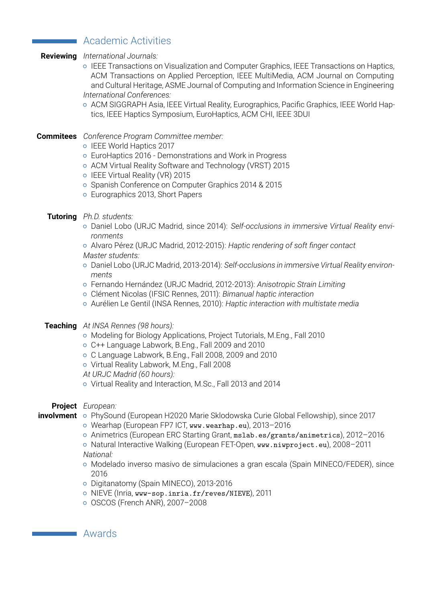# Academic Activities

## **Reviewing** *International Journals:*

- { IEEE Transactions on Visualization and Computer Graphics, IEEE Transactions on Haptics, ACM Transactions on Applied Perception, IEEE MultiMedia, ACM Journal on Computing and Cultural Heritage, ASME Journal of Computing and Information Science in Engineering *International Conferences:*
- { ACM SIGGRAPH Asia, IEEE Virtual Reality, Eurographics, Pacific Graphics, IEEE World Haptics, IEEE Haptics Symposium, EuroHaptics, ACM CHI, IEEE 3DUI

#### **Commitees** *Conference Program Committee member:*

- **IEEE World Haptics 2017**
- { EuroHaptics 2016 Demonstrations and Work in Progress
- { ACM Virtual Reality Software and Technology (VRST) 2015
- { IEEE Virtual Reality (VR) 2015
- { Spanish Conference on Computer Graphics 2014 & 2015
- { Eurographics 2013, Short Papers
- **Tutoring** *Ph.D. students:*
	- { Daniel Lobo (URJC Madrid, since 2014): *Self-occlusions in immersive Virtual Reality environments*
	- { Alvaro Pérez (URJC Madrid, 2012-2015): *Haptic rendering of soft finger contact Master students:*
	- { Daniel Lobo (URJC Madrid, 2013-2014): *Self-occlusions in immersive Virtual Reality environments*
	- { Fernando Hernández (URJC Madrid, 2012-2013): *Anisotropic Strain Limiting*
	- { Clément Nicolas (IFSIC Rennes, 2011): *Bimanual haptic interaction*
	- { Aurélien Le Gentil (INSA Rennes, 2010): *Haptic interaction with multistate media*
- **Teaching** *At INSA Rennes (98 hours):*
	- { Modeling for Biology Applications, Project Tutorials, M.Eng., Fall 2010
	- { C++ Language Labwork, B.Eng., Fall 2009 and 2010
	- { C Language Labwork, B.Eng., Fall 2008, 2009 and 2010
	- o Virtual Reality Labwork, M.Eng., Fall 2008
	- *At URJC Madrid (60 hours):*
	- { Virtual Reality and Interaction, M.Sc., Fall 2013 and 2014

### **Project** *European:*

- **involvment** o PhySound (European H2020 Marie Sklodowska Curie Global Fellowship), since 2017
	- { Wearhap (European FP7 ICT, [www.wearhap.eu](http://www.wearhap.eu)), 2013–2016
	- { Animetrics (European ERC Starting Grant, [mslab.es/grants/animetrics](http://mslab.es/grants/animetrics)), 2012–2016
	- { Natural Interactive Walking (European FET-Open, [www.niwproject.eu](http://www.niwproject.eu)), 2008–2011 *National:*
	- { Modelado inverso masivo de simulaciones a gran escala (Spain MINECO/FEDER), since 2016
	- { Digitanatomy (Spain MINECO), 2013-2016
	- o NIEVE (Inria, [www-sop.inria.fr/reves/NIEVE](http://www-sop.inria.fr/reves/NIEVE)), 2011
	- { OSCOS (French ANR), 2007–2008

Awards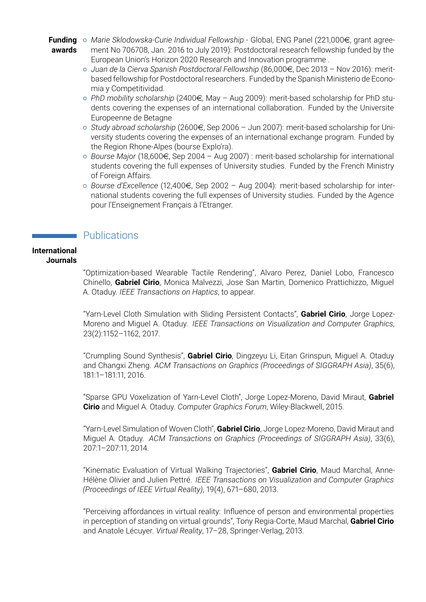Funding o Marie Sklodowska-Curie Individual Fellowship - Global, ENG Panel (221,000€, grant agree**awards** ment No 706708, Jan. 2016 to July 2019): Postdoctoral research fellowship funded by the European Union's Horizon 2020 Research and Innovation programme .

- { *Juan de la Cierva Spanish Postdoctoral Fellowship* (86,000e, Dec 2013 Nov 2016): meritbased fellowship for Postdoctoral researchers. Funded by the Spanish Ministerio de Economia y Competitividad.
- { *PhD mobility scholarship* (2400e, May Aug 2009): merit-based scholarship for PhD students covering the expenses of an international collaboration. Funded by the Universite Europeenne de Betagne
- { *Study abroad scholarship* (2600e, Sep 2006 Jun 2007): merit-based scholarship for University students covering the expenses of an international exchange program. Funded by the Region Rhone-Alpes (bourse Explo'ra).
- { *Bourse Major* (18,600e, Sep 2004 Aug 2007) : merit-based scholarship for international students covering the full expenses of University studies. Funded by the French Ministry of Foreign Affairs.
- { *Bourse d'Excellence* (12,400e, Sep 2002 Aug 2004): merit-based scholarship for international students covering the full expenses of University studies. Funded by the Agence pour l'Enseignement Français à l'Etranger.

# **Publications**

# **International Journals**

"Optimization-based Wearable Tactile Rendering", Alvaro Perez, Daniel Lobo, Francesco Chinello, **Gabriel Cirio**, Monica Malvezzi, Jose San Martin, Domenico Prattichizzo, Miguel A. Otaduy. *IEEE Transactions on Haptics*, to appear.

"Yarn-Level Cloth Simulation with Sliding Persistent Contacts", **Gabriel Cirio**, Jorge Lopez-Moreno and Miguel A. Otaduy. *IEEE Transactions on Visualization and Computer Graphics*, 23(2):1152–1162, 2017.

"Crumpling Sound Synthesis", **Gabriel Cirio**, Dingzeyu Li, Eitan Grinspun, Miguel A. Otaduy and Changxi Zheng. *ACM Transactions on Graphics (Proceedings of SIGGRAPH Asia)*, 35(6), 181:1–181:11, 2016.

"Sparse GPU Voxelization of Yarn-Level Cloth", Jorge Lopez-Moreno, David Miraut, **Gabriel Cirio** and Miguel A. Otaduy. *Computer Graphics Forum*, Wiley-Blackwell, 2015.

"Yarn-Level Simulation of Woven Cloth", **Gabriel Cirio**, Jorge Lopez-Moreno, David Miraut and Miguel A. Otaduy. *ACM Transactions on Graphics (Proceedings of SIGGRAPH Asia)*, 33(6), 207:1–207:11, 2014.

"Kinematic Evaluation of Virtual Walking Trajectories", **Gabriel Cirio**, Maud Marchal, Anne-Hélène Olivier and Julien Pettré. *IEEE Transactions on Visualization and Computer Graphics (Proceedings of IEEE Virtual Reality)*, 19(4), 671–680, 2013.

"Perceiving affordances in virtual reality: Influence of person and environmental properties in perception of standing on virtual grounds", Tony Regia-Corte, Maud Marchal, **Gabriel Cirio** and Anatole Lécuyer. *Virtual Reality*, 17–28, Springer-Verlag, 2013.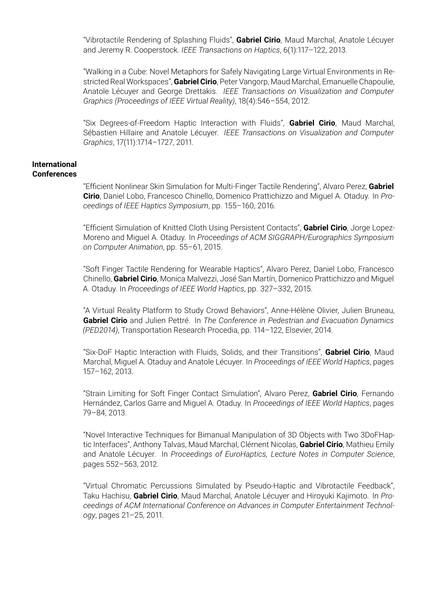"Vibrotactile Rendering of Splashing Fluids", **Gabriel Cirio**, Maud Marchal, Anatole Lécuyer and Jeremy R. Cooperstock. *IEEE Transactions on Haptics*, 6(1):117–122, 2013.

"Walking in a Cube: Novel Metaphors for Safely Navigating Large Virtual Environments in Restricted Real Workspaces", **Gabriel Cirio**, Peter Vangorp, Maud Marchal, Emanuelle Chapoulie, Anatole Lécuyer and George Drettakis. *IEEE Transactions on Visualization and Computer Graphics (Proceedings of IEEE Virtual Reality)*, 18(4):546–554, 2012.

"Six Degrees-of-Freedom Haptic Interaction with Fluids", **Gabriel Cirio**, Maud Marchal, Sébastien Hillaire and Anatole Lécuyer. *IEEE Transactions on Visualization and Computer Graphics*, 17(11):1714–1727, 2011.

#### **International Conferences**

"Efficient Nonlinear Skin Simulation for Multi-Finger Tactile Rendering", Alvaro Perez, **Gabriel Cirio**, Daniel Lobo, Francesco Chinello, Domenico Prattichizzo and Miguel A. Otaduy. In *Proceedings of IEEE Haptics Symposium*, pp. 155–160, 2016.

"Efficient Simulation of Knitted Cloth Using Persistent Contacts", **Gabriel Cirio**, Jorge Lopez-Moreno and Miguel A. Otaduy. In *Proceedings of ACM SIGGRAPH/Eurographics Symposium on Computer Animation*, pp. 55–61, 2015.

"Soft Finger Tactile Rendering for Wearable Haptics", Alvaro Perez, Daniel Lobo, Francesco Chinello, **Gabriel Cirio**, Monica Malvezzi, José San Martín, Domenico Prattichizzo and Miguel A. Otaduy. In *Proceedings of IEEE World Haptics*, pp. 327–332, 2015.

"A Virtual Reality Platform to Study Crowd Behaviors", Anne-Hélène Olivier, Julien Bruneau, **Gabriel Cirio** and Julien Pettré. In *The Conference in Pedestrian and Evacuation Dynamics (PED2014)*, Transportation Research Procedia, pp. 114–122, Elsevier, 2014.

"Six-DoF Haptic Interaction with Fluids, Solids, and their Transitions", **Gabriel Cirio**, Maud Marchal, Miguel A. Otaduy and Anatole Lécuyer. In *Proceedings of IEEE World Haptics*, pages 157–162, 2013.

"Strain Limiting for Soft Finger Contact Simulation", Alvaro Perez, **Gabriel Cirio**, Fernando Hernández, Carlos Garre and Miguel A. Otaduy. In *Proceedings of IEEE World Haptics*, pages 79–84, 2013.

"Novel Interactive Techniques for Bimanual Manipulation of 3D Objects with Two 3DoFHaptic Interfaces", Anthony Talvas, Maud Marchal, Clément Nicolas, **Gabriel Cirio**, Mathieu Emily and Anatole Lécuyer. In *Proceedings of EuroHaptics, Lecture Notes in Computer Science*, pages 552–563, 2012.

"Virtual Chromatic Percussions Simulated by Pseudo-Haptic and Vibrotactile Feedback", Taku Hachisu, **Gabriel Cirio**, Maud Marchal, Anatole Lécuyer and Hiroyuki Kajimoto. In *Proceedings of ACM International Conference on Advances in Computer Entertainment Technology*, pages 21–25, 2011.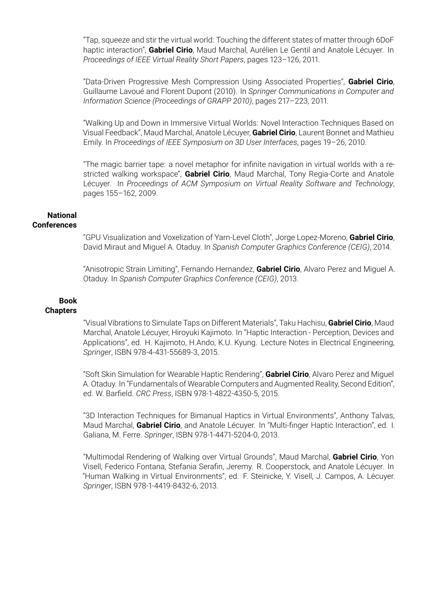"Tap, squeeze and stir the virtual world: Touching the different states of matter through 6DoF haptic interaction", **Gabriel Cirio**, Maud Marchal, Aurélien Le Gentil and Anatole Lécuyer. In *Proceedings of IEEE Virtual Reality Short Papers*, pages 123–126, 2011.

"Data-Driven Progressive Mesh Compression Using Associated Properties", **Gabriel Cirio**, Guillaume Lavoué and Florent Dupont (2010). In *Springer Communications in Computer and Information Science (Proceedings of GRAPP 2010)*, pages 217–223, 2011.

"Walking Up and Down in Immersive Virtual Worlds: Novel Interaction Techniques Based on Visual Feedback", Maud Marchal, Anatole Lécuyer, **Gabriel Cirio**, Laurent Bonnet and Mathieu Emily. In *Proceedings of IEEE Symposium on 3D User Interfaces*, pages 19–26, 2010.

"The magic barrier tape: a novel metaphor for infinite navigation in virtual worlds with a restricted walking workspace", **Gabriel Cirio**, Maud Marchal, Tony Regia-Corte and Anatole Lécuyer. In *Proceedings of ACM Symposium on Virtual Reality Software and Technology*, pages 155–162, 2009.

#### **National Conferences**

"GPU Visualization and Voxelization of Yarn-Level Cloth", Jorge Lopez-Moreno, **Gabriel Cirio**, David Miraut and Miguel A. Otaduy. In *Spanish Computer Graphics Conference (CEIG)*, 2014.

"Anisotropic Strain Limiting", Fernando Hernandez, **Gabriel Cirio**, Alvaro Perez and Miguel A. Otaduy. In *Spanish Computer Graphics Conference (CEIG)*, 2013.

#### **Book Chapters**

"Visual Vibrations to Simulate Taps on Different Materials", Taku Hachisu, **Gabriel Cirio**, Maud Marchal, Anatole Lécuyer, Hiroyuki Kajimoto. In "Haptic Interaction - Perception, Devices and Applications", ed. H. Kajimoto, H.Ando, K.U. Kyung. Lecture Notes in Electrical Engineering, *Springer*, ISBN 978-4-431-55689-3, 2015.

"Soft Skin Simulation for Wearable Haptic Rendering", **Gabriel Cirio**, Alvaro Perez and Miguel A. Otaduy. In "Fundamentals of Wearable Computers and Augmented Reality, Second Edition", ed. W. Barfield. *CRC Press*, ISBN 978-1-4822-4350-5, 2015.

"3D Interaction Techniques for Bimanual Haptics in Virtual Environments", Anthony Talvas, Maud Marchal, **Gabriel Cirio**, and Anatole Lécuyer. In "Multi-finger Haptic Interaction", ed. I. Galiana, M. Ferre. *Springer*, ISBN 978-1-4471-5204-0, 2013.

"Multimodal Rendering of Walking over Virtual Grounds", Maud Marchal, **Gabriel Cirio**, Yon Visell, Federico Fontana, Stefania Serafin, Jeremy. R. Cooperstock, and Anatole Lécuyer. In "Human Walking in Virtual Environments", ed. F. Steinicke, Y. Visell, J. Campos, A. Lécuyer. *Springer*, ISBN 978-1-4419-8432-6, 2013.